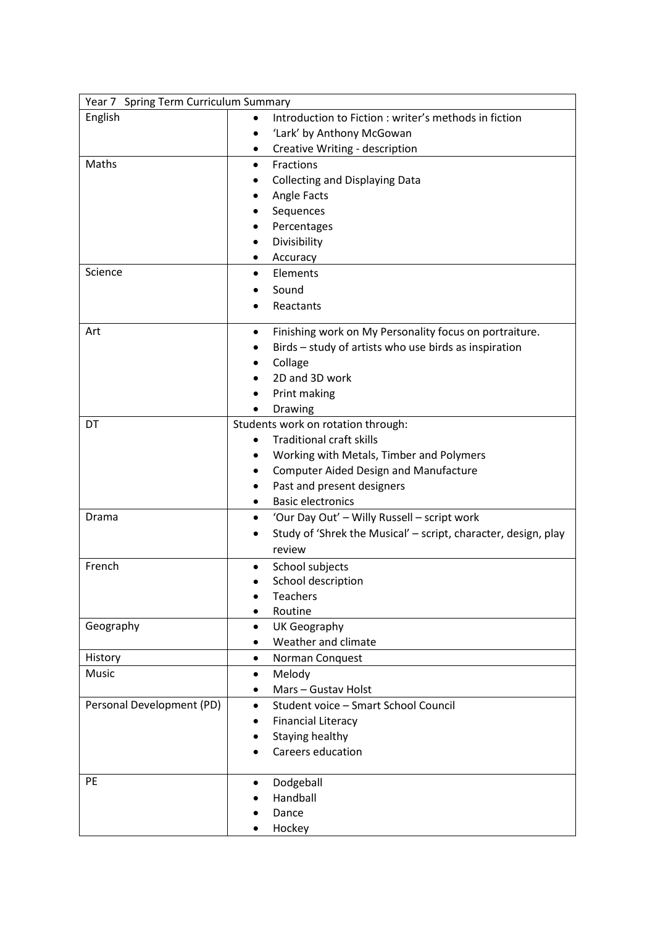| Year 7 Spring Term Curriculum Summary |                                                                |
|---------------------------------------|----------------------------------------------------------------|
| English                               | Introduction to Fiction: writer's methods in fiction           |
|                                       | 'Lark' by Anthony McGowan                                      |
|                                       | Creative Writing - description<br>٠                            |
| Maths                                 | Fractions<br>$\bullet$                                         |
|                                       | <b>Collecting and Displaying Data</b>                          |
|                                       | Angle Facts                                                    |
|                                       | Sequences                                                      |
|                                       | Percentages                                                    |
|                                       | Divisibility                                                   |
|                                       | Accuracy                                                       |
| Science                               | Elements<br>٠                                                  |
|                                       | Sound                                                          |
|                                       |                                                                |
|                                       | Reactants                                                      |
| Art                                   | Finishing work on My Personality focus on portraiture.<br>٠    |
|                                       | Birds - study of artists who use birds as inspiration          |
|                                       | Collage                                                        |
|                                       | 2D and 3D work                                                 |
|                                       | Print making                                                   |
|                                       | Drawing                                                        |
| DT                                    | Students work on rotation through:                             |
|                                       | <b>Traditional craft skills</b><br>$\bullet$                   |
|                                       | Working with Metals, Timber and Polymers                       |
|                                       | <b>Computer Aided Design and Manufacture</b>                   |
|                                       | Past and present designers<br>$\bullet$                        |
|                                       | <b>Basic electronics</b>                                       |
| Drama                                 | 'Our Day Out' - Willy Russell - script work<br>$\bullet$       |
|                                       | Study of 'Shrek the Musical' - script, character, design, play |
|                                       | review                                                         |
|                                       |                                                                |
| French                                | School subjects                                                |
|                                       | School description                                             |
|                                       | <b>Teachers</b><br>Routine                                     |
| Geography                             |                                                                |
|                                       | UK Geography<br>$\bullet$<br>Weather and climate               |
|                                       | ٠                                                              |
| History<br>Music                      | Norman Conquest<br>$\bullet$                                   |
|                                       | Melody<br>$\bullet$                                            |
|                                       | Mars - Gustav Holst<br>٠                                       |
| Personal Development (PD)             | Student voice - Smart School Council<br>$\bullet$              |
|                                       | <b>Financial Literacy</b>                                      |
|                                       | Staying healthy                                                |
|                                       | Careers education                                              |
| PE                                    | Dodgeball<br>٠                                                 |
|                                       | Handball                                                       |
|                                       | Dance                                                          |
|                                       | Hockey                                                         |
|                                       |                                                                |